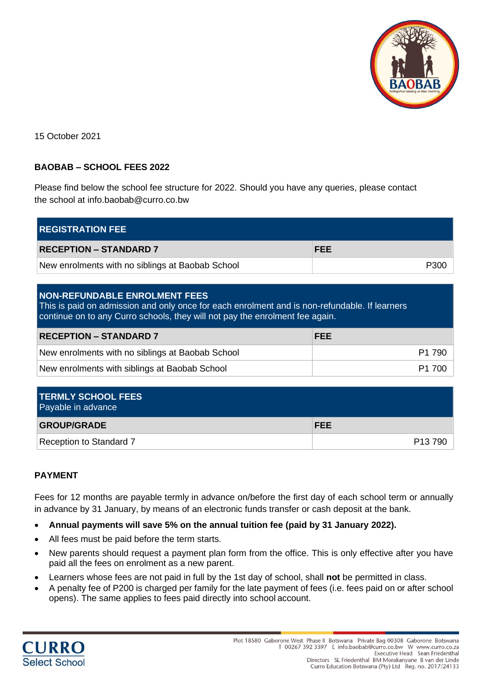

15 October 2021

## **BAOBAB – SCHOOL FEES 2022**

Please find below the school fee structure for 2022. Should you have any queries, please contact the school at info.baobab@curro.co.bw

| <b>REGISTRATION FEE</b>                          |            |  |  |
|--------------------------------------------------|------------|--|--|
| <b>RECEPTION - STANDARD 7</b>                    | <b>FEE</b> |  |  |
| New enrolments with no siblings at Baobab School | P300       |  |  |

| <b>NON-REFUNDABLE ENROLMENT FEES</b> |  |  |
|--------------------------------------|--|--|
|                                      |  |  |

This is paid on admission and only once for each enrolment and is non-refundable. If learners continue on to any Curro schools, they will not pay the enrolment fee again.

| <b>RECEPTION - STANDARD 7</b>                    | <b>FEE</b>         |
|--------------------------------------------------|--------------------|
| New enrolments with no siblings at Baobab School | P1 790             |
| New enrolments with siblings at Baobab School    | P <sub>1</sub> 700 |

| <b>TERMLY SCHOOL FEES</b><br>Payable in advance |                     |
|-------------------------------------------------|---------------------|
| <b>GROUP/GRADE</b>                              | <b>FEE</b>          |
| Reception to Standard 7                         | P <sub>13</sub> 790 |

## **PAYMENT**

Fees for 12 months are payable termly in advance on/before the first day of each school term or annually in advance by 31 January, by means of an electronic funds transfer or cash deposit at the bank.

- **Annual payments will save 5% on the annual tuition fee (paid by 31 January 2022).**
- All fees must be paid before the term starts.
- New parents should request a payment plan form from the office. This is only effective after you have paid all the fees on enrolment as a new parent.
- Learners whose fees are not paid in full by the 1st day of school, shall **not** be permitted in class.
- A penalty fee of P200 is charged per family for the late payment of fees (i.e. fees paid on or after school opens). The same applies to fees paid directly into school account.